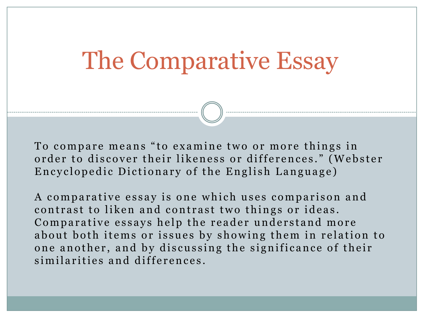## The Comparative Essay

To compare means "to examine two or more things in order to discover their likeness or differences." (Webster Encyclopedic Dictionary of the English Language)

A comparative essay is one which uses comparison and contrast to liken and contrast two things or ideas. Comparative essays help the reader understand more about both items or issues by showing them in relation to one another, and by discussing the significance of their similarities and differences.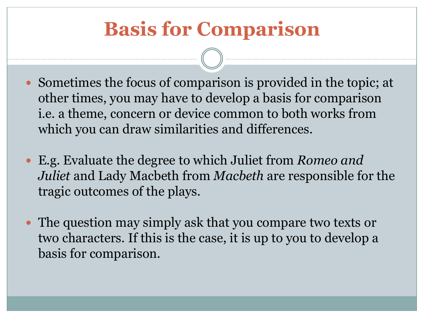### **Basis for Comparison**

- Sometimes the focus of comparison is provided in the topic; at other times, you may have to develop a basis for comparison i.e. a theme, concern or device common to both works from which you can draw similarities and differences.
- E.g. Evaluate the degree to which Juliet from *Romeo and Juliet* and Lady Macbeth from *Macbeth* are responsible for the tragic outcomes of the plays.
- The question may simply ask that you compare two texts or two characters. If this is the case, it is up to you to develop a basis for comparison.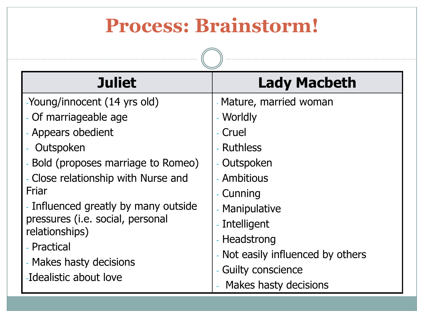#### **Process: Brainstorm!**

| <b>Juliet</b>                                                                                                                                                                                                                                                                                                         | <b>Lady Macbeth</b>                                                                                                                                                                              |  |  |  |
|-----------------------------------------------------------------------------------------------------------------------------------------------------------------------------------------------------------------------------------------------------------------------------------------------------------------------|--------------------------------------------------------------------------------------------------------------------------------------------------------------------------------------------------|--|--|--|
| -Young/innocent (14 yrs old)<br>- Of marriageable age<br>- Appears obedient<br>Outspoken<br>Bold (proposes marriage to Romeo)<br>- Close relationship with Nurse and<br>Friar<br>- Influenced greatly by many outside<br>pressures (i.e. social, personal<br>relationships)<br>- Practical<br>- Makes hasty decisions | - Mature, married woman<br>- Worldly<br>- Cruel<br>- Ruthless<br>- Outspoken<br>- Ambitious<br>- Cunning<br>- Manipulative<br>- Intelligent<br>- Headstrong<br>- Not easily influenced by others |  |  |  |
| -Idealistic about love                                                                                                                                                                                                                                                                                                | - Guilty conscience<br>Makes hasty decisions                                                                                                                                                     |  |  |  |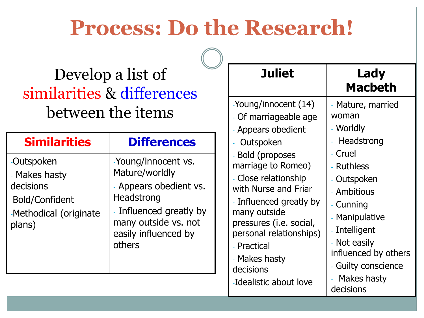## **Process: Do the Research!**

-Young/innocent (14)

Appears obedient

Of marriageable age

#### Develop a list of similarities & differences between the items

|                                                                                                 |                                                                                                                                                                    | Appears Uncurent                                                                                                                                                                                                                           |                                                                           |
|-------------------------------------------------------------------------------------------------|--------------------------------------------------------------------------------------------------------------------------------------------------------------------|--------------------------------------------------------------------------------------------------------------------------------------------------------------------------------------------------------------------------------------------|---------------------------------------------------------------------------|
| <b>Similarities</b>                                                                             | <b>Differences</b>                                                                                                                                                 | Outspoken                                                                                                                                                                                                                                  | $-1$                                                                      |
| -Outspoken<br>- Makes hasty<br>decisions<br>-Bold/Confident<br>-Methodical (originate<br>plans) | -Young/innocent vs.<br>Mature/worldly<br>- Appears obedient vs.<br>Headstrong<br>- Influenced greatly by<br>many outside vs. not<br>easily influenced by<br>others | <b>Bold (proposes)</b><br>marriage to Romeo)<br>- Close relationship<br>with Nurse and Friar<br>- Influenced greatly by<br>many outside<br>pressures (i.e. social,<br>personal relationships)<br>- Practical<br>- Makes hasty<br>decisions | - C<br>$-R$<br>$-C$<br>$-A$<br>- C<br>$-N$<br>- In<br>$- N$<br>inf<br>- G |
|                                                                                                 |                                                                                                                                                                    | -Idealistic about love                                                                                                                                                                                                                     | - 1<br>de                                                                 |

#### **Juliet Lady Macbeth**

- Mature, married woman
- Worldly
- **Headstrong**
- ruel:
- $\ln$  Ithless
- )utspoken
- mbitious
- **cunning**
- 1anipulative
- ntelligent
- lot easily
- fluenced by others
- iuilty conscience
- Makes hasty cisions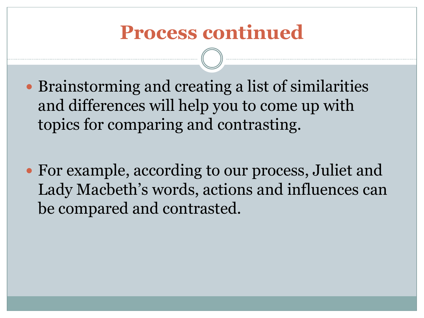#### **Process continued**

- Brainstorming and creating a list of similarities and differences will help you to come up with topics for comparing and contrasting.
- For example, according to our process, Juliet and Lady Macbeth's words, actions and influences can be compared and contrasted.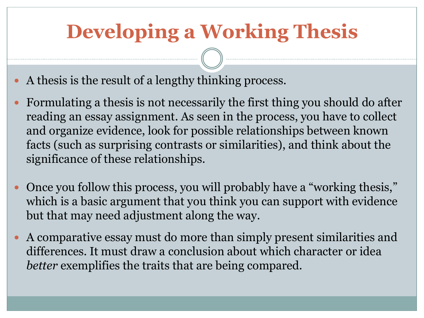## **Developing a Working Thesis**

- A thesis is the result of a lengthy thinking process.
- Formulating a thesis is not necessarily the first thing you should do after reading an essay assignment. As seen in the process, you have to collect and organize evidence, look for possible relationships between known facts (such as surprising contrasts or similarities), and think about the significance of these relationships.
- Once you follow this process, you will probably have a "working thesis," which is a basic argument that you think you can support with evidence but that may need adjustment along the way.
- A comparative essay must do more than simply present similarities and differences. It must draw a conclusion about which character or idea *better* exemplifies the traits that are being compared.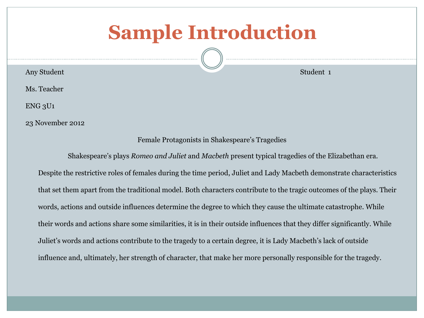#### **Sample Introduction**

**Any Student Student 1** 

Ms. Teacher

ENG 3U1

23 November 2012

Female Protagonists in Shakespeare's Tragedies

Shakespeare's plays *Romeo and Juliet* and *Macbeth* present typical tragedies of the Elizabethan era. Despite the restrictive roles of females during the time period, Juliet and Lady Macbeth demonstrate characteristics that set them apart from the traditional model. Both characters contribute to the tragic outcomes of the plays. Their words, actions and outside influences determine the degree to which they cause the ultimate catastrophe. While their words and actions share some similarities, it is in their outside influences that they differ significantly. While Juliet's words and actions contribute to the tragedy to a certain degree, it is Lady Macbeth's lack of outside influence and, ultimately, her strength of character, that make her more personally responsible for the tragedy.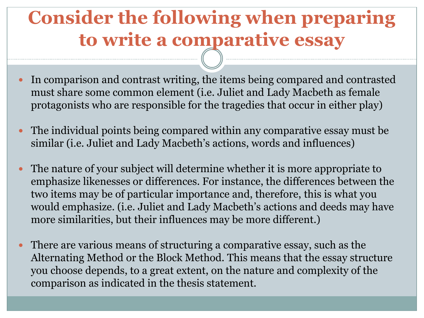#### **Consider the following when preparing to write a comparative essay**

- In comparison and contrast writing, the items being compared and contrasted must share some common element (i.e. Juliet and Lady Macbeth as female protagonists who are responsible for the tragedies that occur in either play)
- The individual points being compared within any comparative essay must be similar (i.e. Juliet and Lady Macbeth's actions, words and influences)
- The nature of your subject will determine whether it is more appropriate to emphasize likenesses or differences. For instance, the differences between the two items may be of particular importance and, therefore, this is what you would emphasize. (i.e. Juliet and Lady Macbeth's actions and deeds may have more similarities, but their influences may be more different.)
- There are various means of structuring a comparative essay, such as the Alternating Method or the Block Method. This means that the essay structure you choose depends, to a great extent, on the nature and complexity of the comparison as indicated in the thesis statement.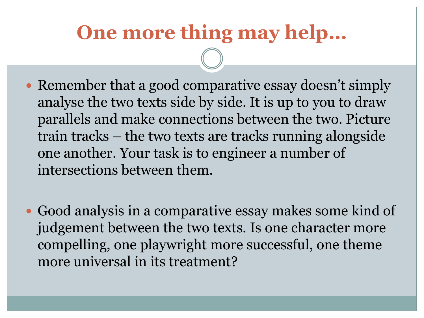### **One more thing may help…**

- Remember that a good comparative essay doesn't simply analyse the two texts side by side. It is up to you to draw parallels and make connections between the two. Picture train tracks – the two texts are tracks running alongside one another. Your task is to engineer a number of intersections between them.
- Good analysis in a comparative essay makes some kind of judgement between the two texts. Is one character more compelling, one playwright more successful, one theme more universal in its treatment?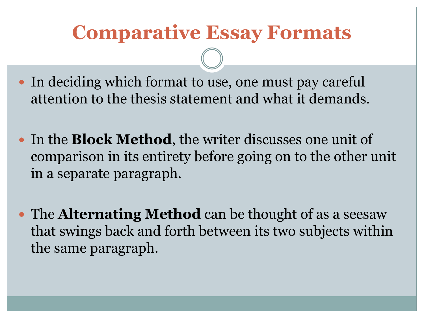#### **Comparative Essay Formats**

- In deciding which format to use, one must pay careful attention to the thesis statement and what it demands.
- In the **Block Method**, the writer discusses one unit of comparison in its entirety before going on to the other unit in a separate paragraph.
- The **Alternating Method** can be thought of as a seesaw that swings back and forth between its two subjects within the same paragraph.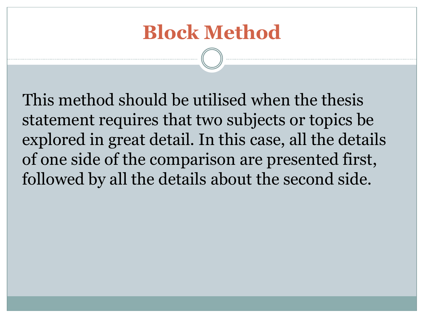#### **Block Method**

This method should be utilised when the thesis statement requires that two subjects or topics be explored in great detail. In this case, all the details of one side of the comparison are presented first, followed by all the details about the second side.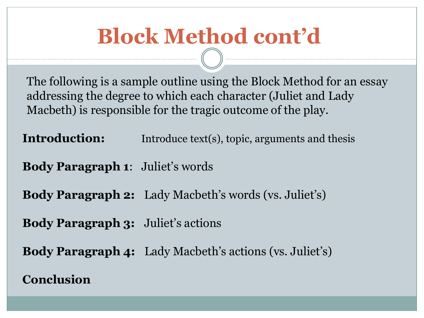## **Block Method cont'd**

The following is a sample outline using the Block Method for an essay addressing the degree to which each character (Juliet and Lady Macbeth) is responsible for the tragic outcome of the play.

**Introduction:** Introduce text(s), topic, arguments and thesis

**Body Paragraph 1**: Juliet's words

**Body Paragraph 2:** Lady Macbeth's words (vs. Juliet's)

**Body Paragraph 3:** Juliet's actions

**Body Paragraph 4:** Lady Macbeth's actions (vs. Juliet's)

#### **Conclusion**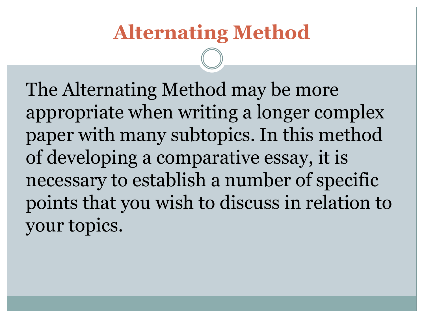### **Alternating Method**

The Alternating Method may be more appropriate when writing a longer complex paper with many subtopics. In this method of developing a comparative essay, it is necessary to establish a number of specific points that you wish to discuss in relation to your topics.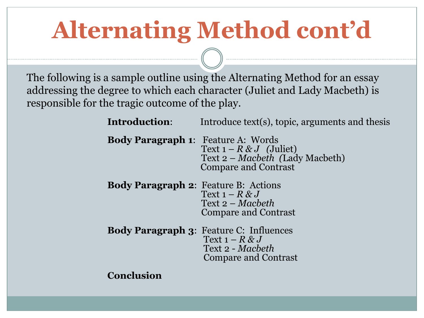# **Alternating Method cont'd**

The following is a sample outline using the Alternating Method for an essay addressing the degree to which each character (Juliet and Lady Macbeth) is responsible for the tragic outcome of the play.

> **Introduction:** Introduce text(s), topic, arguments and thesis **Body Paragraph 1**: Feature A: Words Text  $1 - R \& J$  (Juliet) Text 2 – *Macbeth (*Lady Macbeth) Compare and Contrast **Body Paragraph 2**: Feature B: Actions Text  $1 - R \& J$  Text 2 – *Macbeth* Compare and Contrast **Body Paragraph 3**: Feature C: Influences Text  $1 - R & J$ Text 2 - *Macbeth* Compare and Contrast

**Conclusion**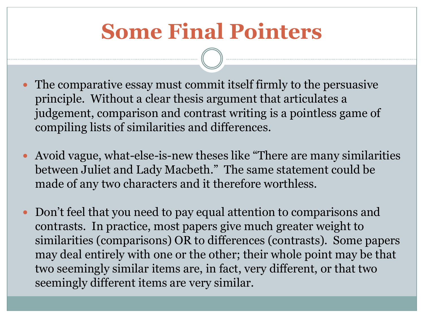## **Some Final Pointers**

- The comparative essay must commit itself firmly to the persuasive principle. Without a clear thesis argument that articulates a judgement, comparison and contrast writing is a pointless game of compiling lists of similarities and differences.
- Avoid vague, what-else-is-new theses like "There are many similarities between Juliet and Lady Macbeth." The same statement could be made of any two characters and it therefore worthless.
- Don't feel that you need to pay equal attention to comparisons and contrasts. In practice, most papers give much greater weight to similarities (comparisons) OR to differences (contrasts). Some papers may deal entirely with one or the other; their whole point may be that two seemingly similar items are, in fact, very different, or that two seemingly different items are very similar.